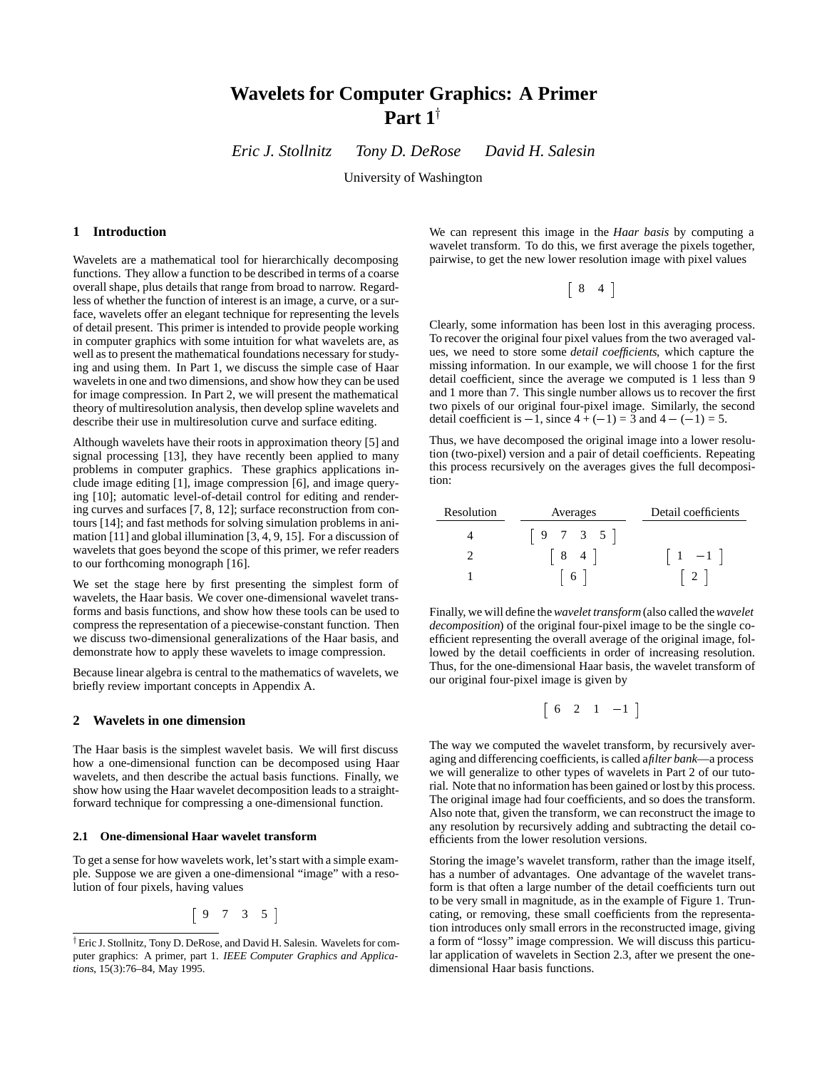# **Wavelets for Computer Graphics: A Primer** Part  $1^{\dagger}$

*Eric J. Stollnitz Tony D. DeRose David H. Salesin*

University of Washington

# **1 Introduction**

Wavelets are a mathematical tool for hierarchically decomposing functions. They allow a function to be described in terms of a coarse overall shape, plus details that range from broad to narrow. Regardless of whether the function of interest is an image, a curve, or a surface, wavelets offer an elegant technique for representing the levels of detail present. This primer is intended to provide people working in computer graphics with some intuition for what wavelets are, as well as to present the mathematical foundations necessary for studying and using them. In Part 1, we discuss the simple case of Haar wavelets in one and two dimensions, and show how they can be used for image compression. In Part 2, we will present the mathematical theory of multiresolution analysis, then develop spline wavelets and describe their use in multiresolution curve and surface editing.

Although wavelets have their roots in approximation theory [5] and signal processing [13], they have recently been applied to many problems in computer graphics. These graphics applications include image editing [1], image compression [6], and image querying [10]; automatic level-of-detail control for editing and rendering curves and surfaces [7, 8, 12]; surface reconstruction from contours [14]; and fast methods for solving simulation problems in animation [11] and global illumination [3, 4, 9, 15]. For a discussion of wavelets that goes beyond the scope of this primer, we refer readers to our forthcoming monograph [16].

We set the stage here by first presenting the simplest form of wavelets, the Haar basis. We cover one-dimensional wavelet transforms and basis functions, and show how these tools can be used to compress the representation of a piecewise-constant function. Then we discuss two-dimensional generalizations of the Haar basis, and demonstrate how to apply these wavelets to image compression.

Because linear algebra is central to the mathematics of wavelets, we briefly review important concepts in Appendix A.

# **2 Wavelets in one dimension**

The Haar basis is the simplest wavelet basis. We will first discuss how a one-dimensional function can be decomposed using Haar wavelets, and then describe the actual basis functions. Finally, we show how using the Haar wavelet decomposition leads to a straightforward technique for compressing a one-dimensional function.

## **2.1 One-dimensional Haar wavelet transform**

To get a sense for how wavelets work, let's start with a simple example. Suppose we are given a one-dimensional "image" with a resolution of four pixels, having values

$$
\left[\begin{array}{cccc}9 & 7 & 3 & 5\end{array}\right]
$$

We can represent this image in the *Haar basis* by computing a wavelet transform. To do this, we first average the pixels together, pairwise, to get the new lower resolution image with pixel values

$$
\left[\begin{array}{cc}8 & 4\end{array}\right]
$$

Clearly, some information has been lost in this averaging process. To recover the original four pixel values from the two averaged values, we need to store some *detail coefficients*, which capture the missing information. In our example, we will choose 1 for the first detail coefficient, since the average we computed is 1 less than 9 and 1 more than 7. This single number allows us to recover the first two pixels of our original four-pixel image. Similarly, the second detail coefficient is  $-1$ , since  $4 + (-1) = 3$  and  $4 - (-1) = 5$ .

Thus, we have decomposed the original image into a lower resolution (two-pixel) version and a pair of detail coefficients. Repeating this process recursively on the averages gives the full decomposition:

| Resolution | Averages           | Detail coefficients |
|------------|--------------------|---------------------|
|            | $9 \t 7 \t 3 \t 5$ |                     |
|            | $\overline{4}$     | $1 -1$              |
|            | 6                  |                     |

Finally, we will define the*wavelet transform* (also called the*wavelet decomposition*) of the original four-pixel image to be the single coefficient representing the overall average of the original image, followed by the detail coefficients in order of increasing resolution. Thus, for the one-dimensional Haar basis, the wavelet transform of our original four-pixel image is given by

$$
\left[\begin{array}{cccc}6 & 2 & 1 & -1\end{array}\right]
$$

The way we computed the wavelet transform, by recursively averaging and differencing coefficients, is called a*filter bank*—a process we will generalize to other types of wavelets in Part 2 of our tutorial. Note that no information has been gained or lost by this process. The original image had four coefficients, and so does the transform. Also note that, given the transform, we can reconstruct the image to any resolution by recursively adding and subtracting the detail coefficients from the lower resolution versions.

Storing the image's wavelet transform, rather than the image itself, has a number of advantages. One advantage of the wavelet transform is that often a large number of the detail coefficients turn out to be very small in magnitude, as in the example of Figure 1. Truncating, or removing, these small coefficients from the representation introduces only small errors in the reconstructed image, giving a form of "lossy" image compression. We will discuss this particular application of wavelets in Section 2.3, after we present the onedimensional Haar basis functions.

<sup>&</sup>lt;sup>†</sup> Eric J. Stollnitz, Tony D. DeRose, and David H. Salesin. Wavelets for computer graphics: A primer, part 1. *IEEE Computer Graphics and Applications*, 15(3):76–84, May 1995.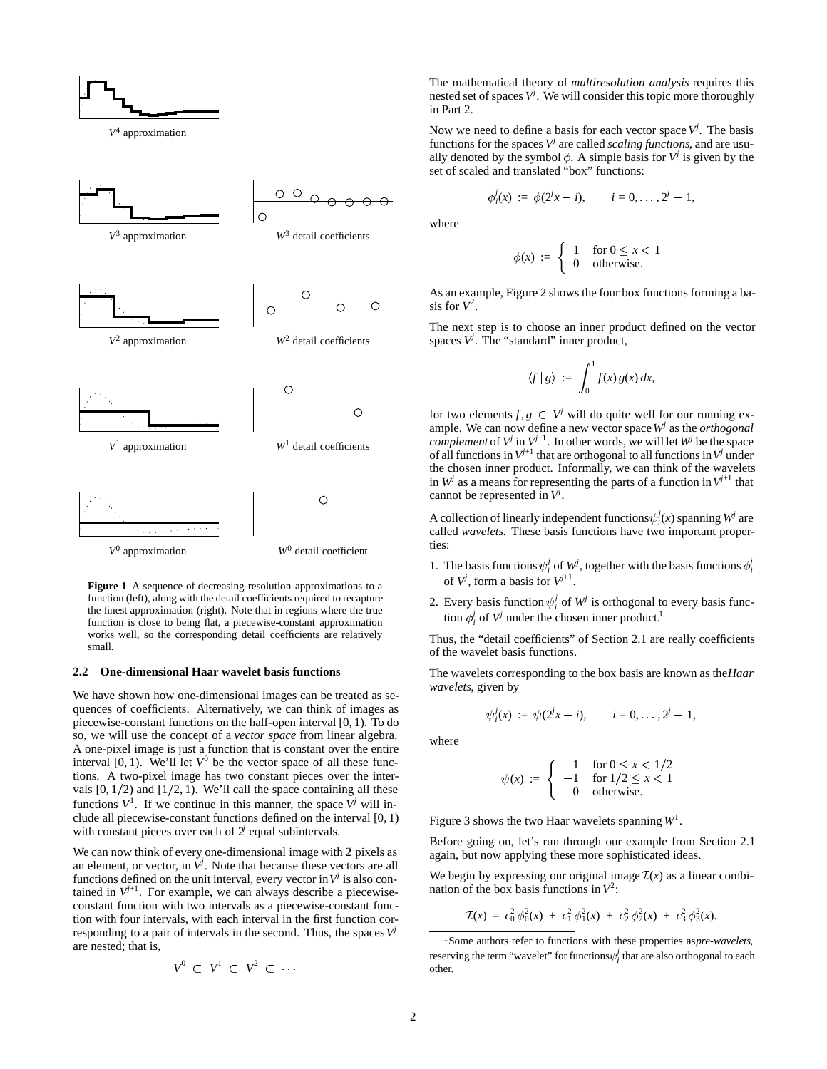

**Figure 1** A sequence of decreasing-resolution approximations to a function (left), along with the detail coefficients required to recapture the finest approximation (right). Note that in regions where the true function is close to being flat, a piecewise-constant approximation works well, so the corresponding detail coefficients are relatively small.

#### **2.2 One-dimensional Haar wavelet basis functions**

We have shown how one-dimensional images can be treated as sequences of coefficients. Alternatively, we can think of images as piecewise-constant functions on the half-open interval [0, 1). To do so, we will use the concept of a *vector space* from linear algebra. A one-pixel image is just a function that is constant over the entire interval  $[0, 1)$ . We'll let  $V^0$  be the vector space of all these functions. A two-pixel image has two constant pieces over the intervals  $[0, 1/2)$  and  $[1/2, 1)$ . We'll call the space containing all these functions  $V^1$ . If we continue in this manner, the space  $V^j$  will include all piecewise-constant functions defined on the interval [0, 1) with constant pieces over each of 2<sup>*j*</sup> equal subintervals.

We can now think of every one-dimensional image with 2 pixels as an element, or vector, in  $\dot{V}^j$ . Note that because these vectors are all functions defined on the unit interval, every vector in  $V^j$  is also contained in  $V^{j+1}$ . For example, we can always describe a piecewiseconstant function with two intervals as a piecewise-constant function with four intervals, with each interval in the first function corresponding to a pair of intervals in the second. Thus, the spaces  $V^j$ are nested; that is,

$$
V^0 \ \subset \ V^1 \ \subset \ V^2 \ \subset \ \cdots
$$

The mathematical theory of *multiresolution analysis* requires this nested set of spaces *V<sup>j</sup>* . We will consider this topic more thoroughly in Part 2.

Now we need to define a basis for each vector space  $V^j$ . The basis functions for the spaces  $V^j$  are called *scaling functions*, and are usually denoted by the symbol  $\phi$ . A simple basis for  $V^j$  is given by the set of scaled and translated "box" functions:

$$
\phi_i^j(x) := \phi(2^j x - i), \qquad i = 0, \ldots, 2^j - 1,
$$

where

$$
\phi(x) := \begin{cases} 1 & \text{for } 0 \le x < 1 \\ 0 & \text{otherwise.} \end{cases}
$$

As an example, Figure 2 shows the four box functions forming a basis for  $V^2$ .

The next step is to choose an inner product defined on the vector spaces *V<sup>j</sup>* . The "standard" inner product,

$$
\langle f | g \rangle := \int_0^1 f(x) g(x) dx,
$$

for two elements  $f, g \in V^j$  will do quite well for our running example. We can now define a new vector space*W<sup>j</sup>* as the *orthogonal complement* of  $V^j$  in  $V^{j+1}$ . In other words, we will let  $W^j$  be the space of all functions in  $V^{j+1}$  that are orthogonal to all functions in  $V^j$  under the chosen inner product. Informally, we can think of the wavelets in  $W^j$  as a means for representing the parts of a function in  $V^{j+1}$  that cannot be represented in *V<sup>j</sup>* .

A collection of linearly independent functions  $\psi_i^j(x)$  spanning  $W^j$  are called *wavelets*. These basis functions have two important properties:

- 1. The basis functions  $\psi_i^j$  of  $W^j$ , together with the basis functions  $\phi_i^j$ of  $V^j$ , form a basis for  $V^{j+1}$ .
- 2. Every basis function  $\psi_i^j$  of  $W^j$  is orthogonal to every basis function  $\phi_i^j$  of  $V^j$  under the chosen inner product.<sup>1</sup>

Thus, the "detail coefficients" of Section 2.1 are really coefficients of the wavelet basis functions.

The wavelets corresponding to the box basis are known as the*Haar wavelets*, given by

$$
\psi_i^j(x) := \psi(2^jx - i), \qquad i = 0, \ldots, 2^j - 1,
$$

where

$$
\psi(x) := \begin{cases}\n1 & \text{for } 0 \le x < 1/2 \\
-1 & \text{for } 1/2 \le x < 1 \\
0 & \text{otherwise.}\n\end{cases}
$$

Figure 3 shows the two Haar wavelets spanning *W*<sup>1</sup> .

Before going on, let's run through our example from Section 2.1 again, but now applying these more sophisticated ideas.

We begin by expressing our original image  $\mathcal{I}(x)$  as a linear combination of the box basis functions in  $V^2$ :

$$
\mathcal{I}(x) = c_0^2 \phi_0^2(x) + c_1^2 \phi_1^2(x) + c_2^2 \phi_2^2(x) + c_3^2 \phi_3^2(x).
$$

<sup>1</sup>Some authors refer to functions with these properties as*pre-wavelets*, reserving the term "wavelet" for functions  $\psi^j_i$  that are also orthogonal to each other.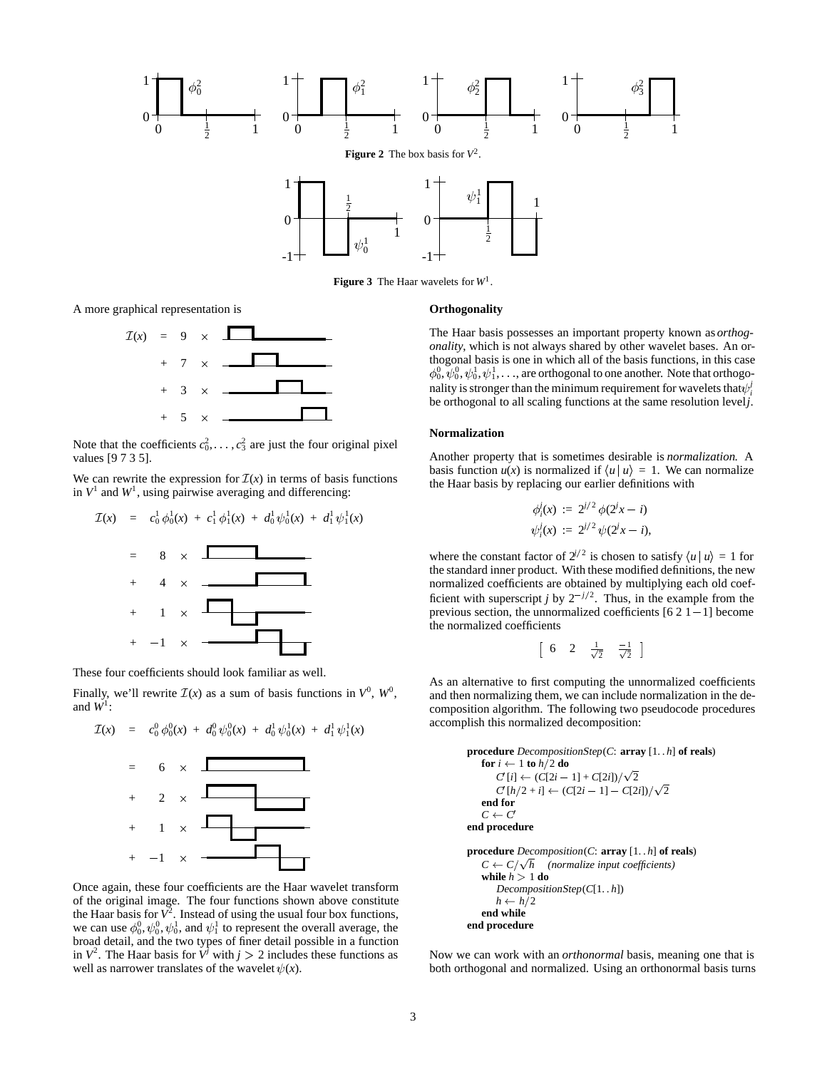

**Figure 3** The Haar wavelets for *W*1.

A more graphical representation is



Note that the coefficients  $c_0^2, \ldots, c_3^2$  are just the four original pixel values [9 7 3 5].

We can rewrite the expression for  $\mathcal{I}(x)$  in terms of basis functions in  $V^1$  and  $W^1$ , using pairwise averaging and differencing:

$$
\mathcal{I}(x) = c_0^1 \phi_0^1(x) + c_1^1 \phi_1^1(x) + d_0^1 \psi_0^1(x) + d_1^1 \psi_1^1(x)
$$
  
= 8 × 1

These four coefficients should look familiar as well.

 $-1$   $\times$ 

Finally, we'll rewrite  $\mathcal{I}(x)$  as a sum of basis functions in  $V^0$ ,  $W^0$ , and  $W^1$ :



Once again, these four coefficients are the Haar wavelet transform of the original image. The four functions shown above constitute the Haar basis for  $\bar{V}^2$ . Instead of using the usual four box functions, we can use  $\phi_0^0$ ,  $\psi_0^0$ ,  $\psi_0^1$ , and  $\psi_1^1$  to represent the overall average, the broad detail, and the two types of finer detail possible in a function in  $V^2$ . The Haar basis for  $\dot{V}^j$  with  $j > 2$  includes these functions as well as narrower translates of the wavelet  $\psi(x)$ .

#### **Orthogonality**

The Haar basis possesses an important property known as *orthogonality*, which is not always shared by other wavelet bases. An orthogonal basis is one in which all of the basis functions, in this case  $\phi^0_0, \psi^0_0, \psi^1_0, \psi^1_1, \dots$  , are orthogonal to one another. Note that orthogonality is stronger than the minimum requirement for wavelets that  $\psi_i^j$ be orthogonal to all scaling functions at the same resolution level*j*.

## **Normalization**

Another property that is sometimes desirable is *normalization*. A basis function  $u(x)$  is normalized if  $\langle u | u \rangle = 1$ . We can normalize the Haar basis by replacing our earlier definitions with

$$
\begin{aligned} \phi_i^j(x) &:= 2^{j/2} \phi(2^j x - i) \\ \psi_i^j(x) &:= 2^{j/2} \psi(2^j x - i), \end{aligned}
$$

where the constant factor of  $2^{j/2}$  is chosen to satisfy  $\langle u | u \rangle = 1$  for the standard inner product. With these modified definitions, the new normalized coefficients are obtained by multiplying each old coefficient with superscript *j* by  $2^{-j/2}$ . Thus, in the example from the previous section, the unnormalized coefficients  $[621 -1]$  become the normalized coefficients

$$
\left[\begin{array}{ccccc}6 & 2 & \frac{1}{\sqrt{2}} & \frac{-1}{\sqrt{2}} \end{array}\right]
$$

As an alternative to first computing the unnormalized coefficients and then normalizing them, we can include normalization in the decomposition algorithm. The following two pseudocode procedures accomplish this normalized decomposition:

**procedure** DecompositionStep(*C*: **array** [1. . *h*] **of reals**) **for**  $i \leftarrow 1$  **to**  $h/2$  **do**  $C'[i] \leftarrow (C[2i-1] + C[2i]) / \sqrt{2}$  $C'[h/2 + i] \leftarrow (C[2i - 1] - C[2i]) / \sqrt{2}$ **end for**  $C \leftarrow C'$ **end procedure procedure** Decomposition(*C*: **array** [1. . *h*] **of reals**) *h (normalize input coefficients)*

$$
C \leftarrow C/\sqrt{h} \quad (normalized input coefficient:\nwhile  $h > 1$  **do**  
\nDecompositionStep(C[1..h])  
\n $h \leftarrow h/2$   
\n**end while**  
\n**end procedure**
$$

Now we can work with an *orthonormal* basis, meaning one that is both orthogonal and normalized. Using an orthonormal basis turns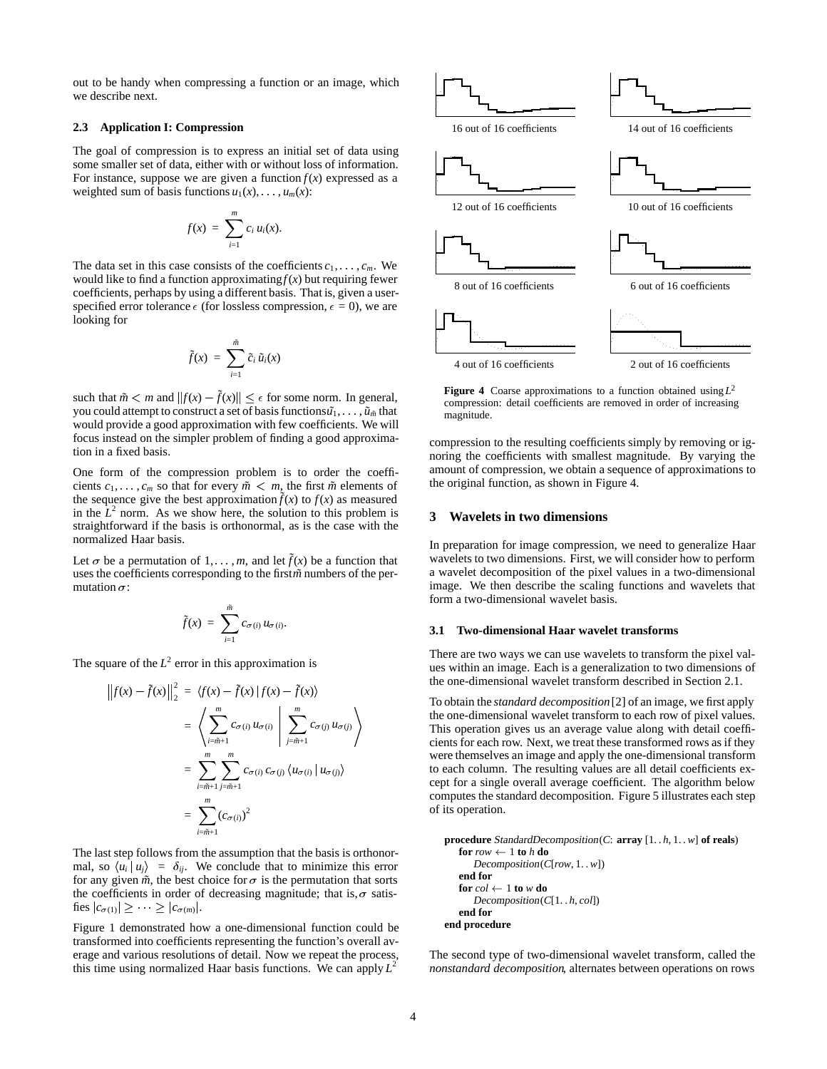out to be handy when compressing a function or an image, which we describe next.

### **2.3 Application I: Compression**

The goal of compression is to express an initial set of data using some smaller set of data, either with or without loss of information. For instance, suppose we are given a function  $f(x)$  expressed as a weighted sum of basis functions  $u_1(x), \ldots, u_m(x)$ :

$$
f(x) = \sum_{i=1}^m c_i u_i(x).
$$

The data set in this case consists of the coefficients  $c_1, \ldots, c_m$ . We would like to find a function approximating  $f(x)$  but requiring fewer coefficients, perhaps by using a different basis. That is, given a userspecified error tolerance  $\epsilon$  (for lossless compression,  $\epsilon = 0$ ), we are looking for

$$
\tilde{f}(x) = \sum_{i=1}^{\tilde{m}} \tilde{c}_i \, \tilde{u}_i(x)
$$

such that  $\tilde{m} < m$  and  $||f(x) - \tilde{f}(x)|| \leq \epsilon$  for some norm. In general, you could attempt to construct a set of basis functions  $\tilde{u}_1, \ldots, \tilde{u}_{\tilde{m}}$  that would provide a good approximation with few coefficients. We will focus instead on the simpler problem of finding a good approximation in a fixed basis.

One form of the compression problem is to order the coefficients  $c_1, \ldots, c_m$  so that for every  $\tilde{m} < m$ , the first  $\tilde{m}$  elements of the sequence give the best approximation  $\tilde{f}(x)$  to  $f(x)$  as measured in the  $L^2$  norm. As we show here, the solution to this problem is straightforward if the basis is orthonormal, as is the case with the normalized Haar basis.

Let  $\sigma$  be a permutation of 1, ..., *m*, and let  $\tilde{f}(x)$  be a function that uses the coefficients corresponding to the first *m*<sup>*m*</sup> numbers of the permutation  $\sigma$ :

$$
\tilde{f}(x) = \sum_{i=1}^{\tilde{m}} c_{\sigma(i)} u_{\sigma(i)}.
$$

The square of the  $L^2$  error in this approximation is

$$
\left\|f(x) - \tilde{f}(x)\right\|_{2}^{2} = \left\langle f(x) - \tilde{f}(x) \middle| f(x) - \tilde{f}(x) \right\rangle
$$
\n
$$
= \left\langle \sum_{i=\tilde{m}+1}^{m} c_{\sigma(i)} u_{\sigma(i)} \middle| \sum_{j=\tilde{m}+1}^{m} c_{\sigma(j)} u_{\sigma(j)} \right\rangle
$$
\nThe  
\n
$$
= \sum_{i=\tilde{m}+1}^{m} \sum_{j=\tilde{m}+1}^{m} c_{\sigma(i)} c_{\sigma(j)} \left\langle u_{\sigma(i)} | u_{\sigma(j)} \right\rangle
$$
\nwe  
\n
$$
= \sum_{i=\tilde{m}+1}^{m} (c_{\sigma(i)})^{2}
$$
\nof

The last step follows from the assumption that the basis is orthonormal, so  $\langle u_i | u_j \rangle = \delta_{ij}$ . We conclude that to minimize this error for any given  $\tilde{m}$ , the best choice for  $\sigma$  is the permutation that sorts the coefficients in order of decreasing magnitude; that is,  $\sigma$  satisfies  $|c_{\sigma(1)}| \geq \cdots \geq |c_{\sigma(m)}|$ .

Figure 1 demonstrated how a one-dimensional function could be transformed into coefficients representing the function's overall average and various resolutions of detail. Now we repeat the process, this time using normalized Haar basis functions. We can apply  $L^2$ 



**Figure 4** Coarse approximations to a function obtained using *L*<sup>2</sup> compression: detail coefficients are removed in order of increasing magnitude.

compression to the resulting coefficients simply by removing or ignoring the coefficients with smallest magnitude. By varying the amount of compression, we obtain a sequence of approximations to the original function, as shown in Figure 4.

# **3 Wavelets in two dimensions**

In preparation for image compression, we need to generalize Haar wavelets to two dimensions. First, we will consider how to perform a wavelet decomposition of the pixel values in a two-dimensional image. We then describe the scaling functions and wavelets that form a two-dimensional wavelet basis.

## **3.1 Two-dimensional Haar wavelet transforms**

There are two ways we can use wavelets to transform the pixel values within an image. Each is a generalization to two dimensions of the one-dimensional wavelet transform described in Section 2.1.

To obtain the *standard decomposition*[2] of an image, we first apply the one-dimensional wavelet transform to each row of pixel values. This operation gives us an average value along with detail coefficients for each row. Next, we treat these transformed rows as if they were themselves an image and apply the one-dimensional transform to each column. The resulting values are all detail coefficients except for a single overall average coefficient. The algorithm below computes the standard decomposition. Figure 5 illustrates each step of its operation.

**procedure** StandardDecomposition(*C*: **array** [1. . *h*, 1. . *w*] **of reals**)  $$ Decomposition(*C*[*row*, 1. . *w*]) **end for for**  $col \leftarrow 1$  **to**  $w$  **do** Decomposition(*C*[1. . *h*, *col*]) **end for end procedure**

The second type of two-dimensional wavelet transform, called the *nonstandard decomposition*, alternates between operations on rows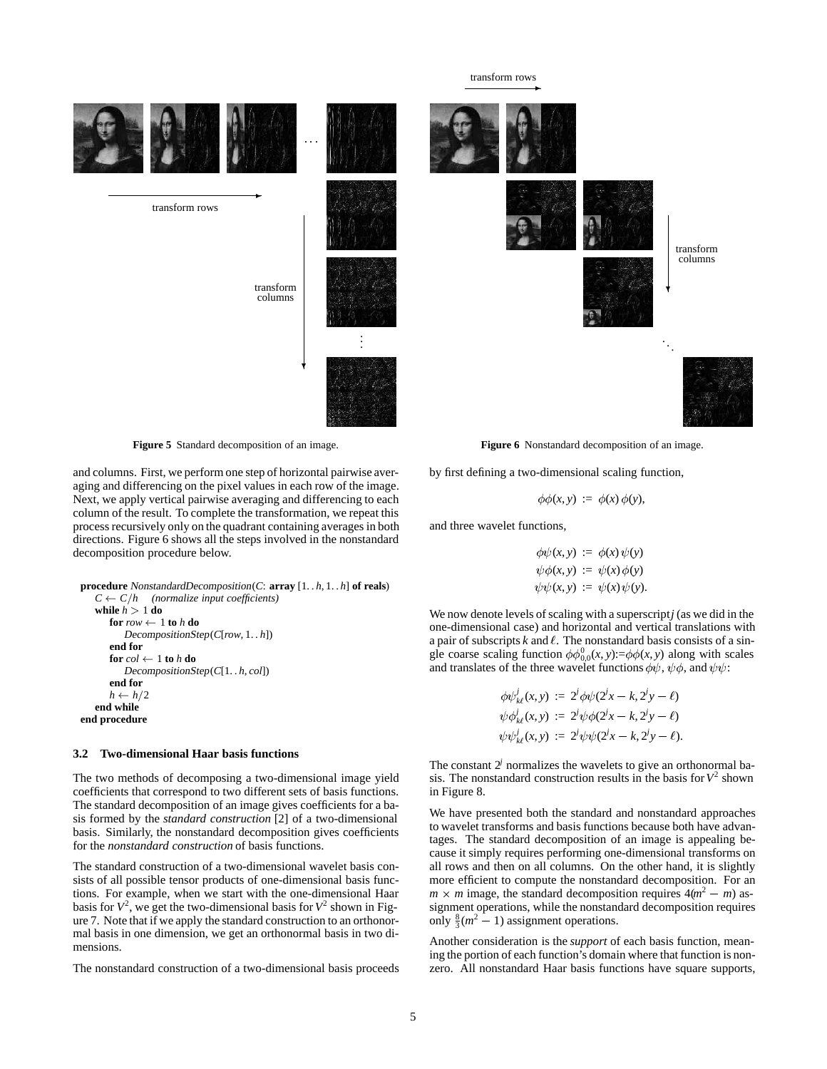transform rows



**Figure 5** Standard decomposition of an image.

and columns. First, we perform one step of horizontal pairwise averaging and differencing on the pixel values in each row of the image. Next, we apply vertical pairwise averaging and differencing to each column of the result. To complete the transformation, we repeat this process recursively only on the quadrant containing averages in both directions. Figure 6 shows all the steps involved in the nonstandard decomposition procedure below.

```
procedure NonstandardDecomposition(C: array [1. . h, 1. . h] of reals)
   C \leftarrow C/h (normalize input coefficients)
  while h > 1 do

         DecompositionStep(C[row, 1. . h])
      end for
      for col \leftarrow 1 to h do
         DecompositionStep(C[1. . h, col])
      end for
      h \leftarrow h/2end while
end procedure
```
## **3.2 Two-dimensional Haar basis functions**

The two methods of decomposing a two-dimensional image yield coefficients that correspond to two different sets of basis functions. The standard decomposition of an image gives coefficients for a basis formed by the *standard construction* [2] of a two-dimensional basis. Similarly, the nonstandard decomposition gives coefficients for the *nonstandard construction* of basis functions.

The standard construction of a two-dimensional wavelet basis consists of all possible tensor products of one-dimensional basis functions. For example, when we start with the one-dimensional Haar basis for  $V^2$ , we get the two-dimensional basis for  $V^2$  shown in Figure 7. Note that if we apply the standard construction to an orthonormal basis in one dimension, we get an orthonormal basis in two dimensions.

The nonstandard construction of a two-dimensional basis proceeds

**Figure 6** Nonstandard decomposition of an image.

by first defining a two-dimensional scaling function,

$$
\phi\phi(x,y) := \phi(x)\phi(y),
$$

and three wavelet functions,

$$
\begin{aligned}\n\phi \psi(x, y) &:= \phi(x) \psi(y) \\
\psi \phi(x, y) &:= \psi(x) \phi(y) \\
\psi \psi(x, y) &:= \psi(x) \psi(y).\n\end{aligned}
$$

We now denote levels of scaling with a superscript*j* (as we did in the one-dimensional case) and horizontal and vertical translations with a pair of subscripts  $k$  and  $\ell$ . The nonstandard basis consists of a single coarse scaling function  $\phi \phi_{0,0}^{0}(x, y) := \phi \phi(x, y)$  along with scales and translates of the three wavelet functions  $\phi \psi$ ,  $\psi \phi$ , and  $\psi \psi$ :

$$
\begin{aligned}\n\phi \psi_{k\ell}^j(x, y) &:= 2^j \phi \psi(2^j x - k, 2^j y - \ell) \\
\psi \phi_{k\ell}^j(x, y) &:= 2^j \psi \phi(2^j x - k, 2^j y - \ell) \\
\psi \psi_{k\ell}^j(x, y) &:= 2^j \psi \psi(2^j x - k, 2^j y - \ell).\n\end{aligned}
$$

The constant  $2<sup>j</sup>$  normalizes the wavelets to give an orthonormal basis. The nonstandard construction results in the basis for  $V^2$  shown in Figure 8.

We have presented both the standard and nonstandard approaches to wavelet transforms and basis functions because both have advantages. The standard decomposition of an image is appealing because it simply requires performing one-dimensional transforms on all rows and then on all columns. On the other hand, it is slightly more efficient to compute the nonstandard decomposition. For an  $m \times m$  image, the standard decomposition requires  $4(m^2 - m)$  assignment operations, while the nonstandard decomposition requires only  $\frac{8}{3}(m^2 - 1)$  assignment operations.

Another consideration is the *support* of each basis function, meaning the portion of each function's domain where that function is nonzero. All nonstandard Haar basis functions have square supports,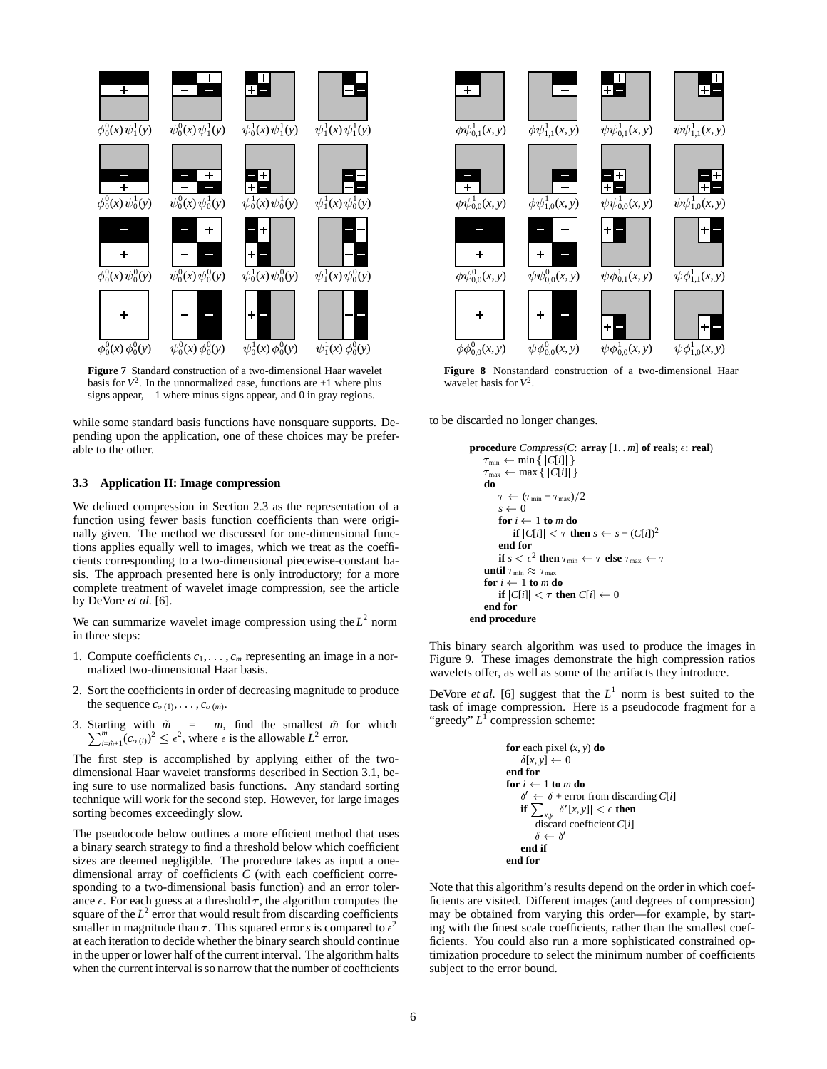

**Figure 7** Standard construction of a two-dimensional Haar wavelet basis for  $V^2$ . In the unnormalized case, functions are  $+1$  where plus signs appear,  $-1$  where minus signs appear, and 0 in gray regions.

while some standard basis functions have nonsquare supports. Depending upon the application, one of these choices may be preferable to the other.

## **3.3 Application II: Image compression**

We defined compression in Section 2.3 as the representation of a function using fewer basis function coefficients than were originally given. The method we discussed for one-dimensional functions applies equally well to images, which we treat as the coefficients corresponding to a two-dimensional piecewise-constant basis. The approach presented here is only introductory; for a more complete treatment of wavelet image compression, see the article by DeVore *et al.* [6].

We can summarize wavelet image compression using the  $L^2$  norm in three steps:

- 1. Compute coefficients  $c_1, \ldots, c_m$  representing an image in a normalized two-dimensional Haar basis.
- 2. Sort the coefficients in order of decreasing magnitude to produce the sequence  $c_{\sigma(1)}, \ldots, c_{\sigma(m)}$ .
- 3. Starting with  $\tilde{m} = m$ , find the smallest  $\tilde{m}$  for which  $\sum_{m=1}^{m} (n \lambda)^2 \leq \lambda^2$  where is the allowable  $L^2$  arrangement.  $\int_{\theta = \tilde{m}+1}^{\infty} (c_{\sigma(i)})^2 \leq \epsilon^2$ , where  $\epsilon$  is the allowable  $L^2$  error.

The first step is accomplished by applying either of the twodimensional Haar wavelet transforms described in Section 3.1, being sure to use normalized basis functions. Any standard sorting technique will work for the second step. However, for large images sorting becomes exceedingly slow.

The pseudocode below outlines a more efficient method that uses a binary search strategy to find a threshold below which coefficient sizes are deemed negligible. The procedure takes as input a onedimensional array of coefficients *C* (with each coefficient corresponding to a two-dimensional basis function) and an error tolerance  $\epsilon$ . For each guess at a threshold  $\tau$ , the algorithm computes the square of the  $L^2$  error that would result from discarding coefficients smaller in magnitude than  $\tau$ . This squared error *s* is compared to  $\epsilon^2$ at each iteration to decide whether the binary search should continue in the upper or lower half of the current interval. The algorithm halts when the current interval is so narrow that the number of coefficients



**Figure 8** Nonstandard construction of a two-dimensional Haar wavelet basis for *V*2.

to be discarded no longer changes.

```
procedure Compress(C: array [1..m] of reals; \epsilon: real)
     \tau_{\min} \leftarrow \min \{ |C[i]| \}\tau_{\text{max}} \leftarrow \max \{ |C[i]| \}do \tau \leftarrow (\tau_{\min} + \tau_{\max})/2s \leftarrow 0for i \leftarrow 1 to m do
               if |C[i]| < \tau then s \leftarrow s + (C[i])^2end for
          if s < \epsilon^2 then \tau_{\min} \leftarrow \tau else \tau_{\max} \leftarrow \tauuntil \tau_{\min} \approx \tau_{\max}for i \leftarrow 1 to m do
          if |C[i]| < \tau then C[i] \leftarrow 0end for
end procedure
```
This binary search algorithm was used to produce the images in Figure 9. These images demonstrate the high compression ratios wavelets offer, as well as some of the artifacts they introduce.

DeVore *et al.* [6] suggest that the  $L^1$  norm is best suited to the task of image compression. Here is a pseudocode fragment for a "greedy" *L*<sup>1</sup> compression scheme:

**for** each pixel 
$$
(x, y)
$$
 **do**  
\n $\delta[x, y] \leftarrow 0$   
\n**end for**  
\n**for**  $i \leftarrow 1$  **to** *m* **do**  
\n $\delta' \leftarrow \delta +$  error from discarding  $C[i]$   
\n**if**  $\sum_{x,y} |\delta'[x, y]| < \epsilon$  **then**  
\ndiscard coefficient  $C[i]$   
\n $\delta \leftarrow \delta'$   
\n**end if**  
\n**end for**

Note that this algorithm's results depend on the order in which coefficients are visited. Different images (and degrees of compression) may be obtained from varying this order—for example, by starting with the finest scale coefficients, rather than the smallest coefficients. You could also run a more sophisticated constrained optimization procedure to select the minimum number of coefficients subject to the error bound.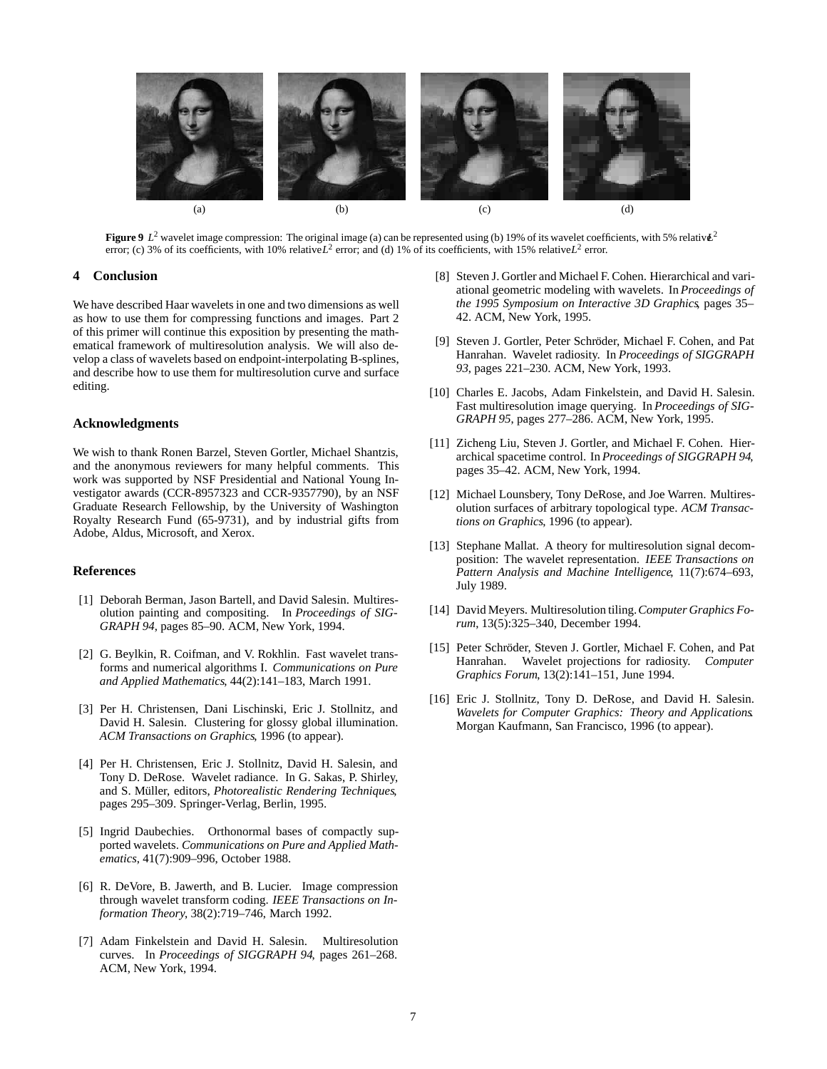

**Figure 9**  $L^2$  wavelet image compression: The original image (a) can be represented using (b) 19% of its wavelet coefficients, with 5% relativ $\mathbf{L}^2$ error; (c) 3% of its coefficients, with 10% relative  $L^2$  error; and (d) 1% of its coefficients, with 15% relative  $L^2$  error.

# **4 Conclusion**

We have described Haar wavelets in one and two dimensions as well as how to use them for compressing functions and images. Part 2 of this primer will continue this exposition by presenting the mathematical framework of multiresolution analysis. We will also develop a class of wavelets based on endpoint-interpolating B-splines, and describe how to use them for multiresolution curve and surface editing.

# **Acknowledgments**

We wish to thank Ronen Barzel, Steven Gortler, Michael Shantzis, and the anonymous reviewers for many helpful comments. This work was supported by NSF Presidential and National Young Investigator awards (CCR-8957323 and CCR-9357790), by an NSF Graduate Research Fellowship, by the University of Washington Royalty Research Fund (65-9731), and by industrial gifts from Adobe, Aldus, Microsoft, and Xerox.

# **References**

- [1] Deborah Berman, Jason Bartell, and David Salesin. Multiresolution painting and compositing. In *Proceedings of SIG-GRAPH 94*, pages 85–90. ACM, New York, 1994.
- [2] G. Beylkin, R. Coifman, and V. Rokhlin. Fast wavelet transforms and numerical algorithms I. *Communications on Pure and Applied Mathematics*, 44(2):141–183, March 1991.
- [3] Per H. Christensen, Dani Lischinski, Eric J. Stollnitz, and David H. Salesin. Clustering for glossy global illumination. *ACM Transactions on Graphics*, 1996 (to appear).
- [4] Per H. Christensen, Eric J. Stollnitz, David H. Salesin, and Tony D. DeRose. Wavelet radiance. In G. Sakas, P. Shirley, and S. Müller, editors, *Photorealistic Rendering Techniques*, pages 295–309. Springer-Verlag, Berlin, 1995.
- [5] Ingrid Daubechies. Orthonormal bases of compactly supported wavelets. *Communications on Pure and Applied Mathematics*, 41(7):909–996, October 1988.
- [6] R. DeVore, B. Jawerth, and B. Lucier. Image compression through wavelet transform coding. *IEEE Transactions on Information Theory*, 38(2):719–746, March 1992.
- [7] Adam Finkelstein and David H. Salesin. Multiresolution curves. In *Proceedings of SIGGRAPH 94*, pages 261–268. ACM, New York, 1994.
- [8] Steven J. Gortler and Michael F. Cohen. Hierarchical and variational geometric modeling with wavelets. In *Proceedings of the 1995 Symposium on Interactive 3D Graphics*, pages 35– 42. ACM, New York, 1995.
- [9] Steven J. Gortler, Peter Schröder, Michael F. Cohen, and Pat Hanrahan. Wavelet radiosity. In *Proceedings of SIGGRAPH 93*, pages 221–230. ACM, New York, 1993.
- [10] Charles E. Jacobs, Adam Finkelstein, and David H. Salesin. Fast multiresolution image querying. In *Proceedings of SIG-GRAPH 95*, pages 277–286. ACM, New York, 1995.
- [11] Zicheng Liu, Steven J. Gortler, and Michael F. Cohen. Hierarchical spacetime control. In *Proceedings of SIGGRAPH 94*, pages 35–42. ACM, New York, 1994.
- [12] Michael Lounsbery, Tony DeRose, and Joe Warren. Multiresolution surfaces of arbitrary topological type. *ACM Transactions on Graphics*, 1996 (to appear).
- [13] Stephane Mallat. A theory for multiresolution signal decomposition: The wavelet representation. *IEEE Transactions on Pattern Analysis and Machine Intelligence*, 11(7):674–693, July 1989.
- [14] David Meyers. Multiresolution tiling.*Computer Graphics Forum*, 13(5):325–340, December 1994.
- [15] Peter Schröder, Steven J. Gortler, Michael F. Cohen, and Pat Hanrahan. Wavelet projections for radiosity. *Computer Graphics Forum*, 13(2):141–151, June 1994.
- [16] Eric J. Stollnitz, Tony D. DeRose, and David H. Salesin. *Wavelets for Computer Graphics: Theory and Applications*. Morgan Kaufmann, San Francisco, 1996 (to appear).